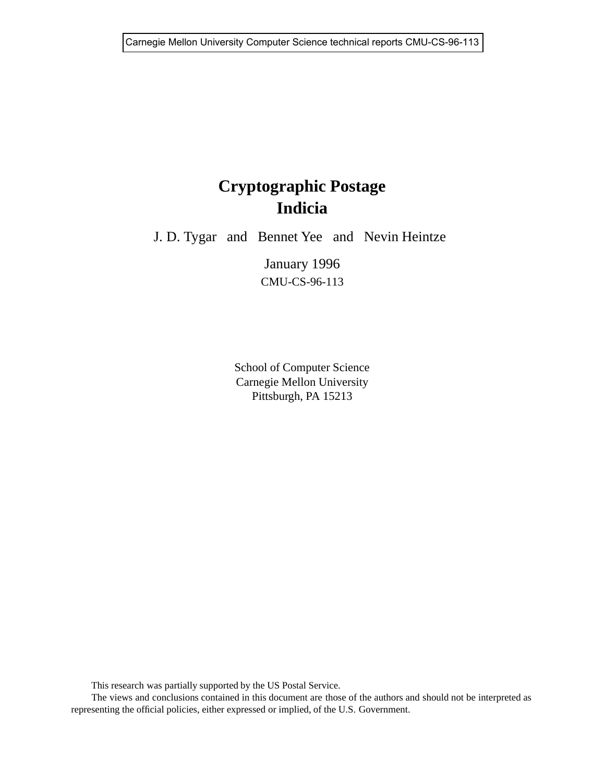# **Cryptographic Postage Indicia**

J. D. Tygar and Bennet Yee and Nevin Heintze

January 1996 CMU-CS-96-113

School of Computer Science Carnegie Mellon University Pittsburgh, PA 15213

This research was partially supported by the US Postal Service.

The views and conclusions contained in this document are those of the authors and should not be interpreted as representing the official policies, either expressed or implied, of the U.S. Government.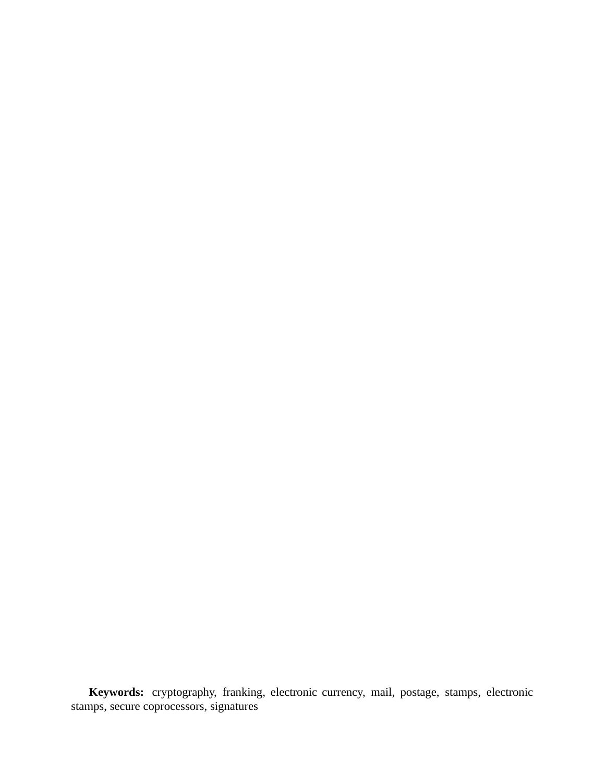**Keywords:** cryptography, franking, electronic currency, mail, postage, stamps, electronic stamps, secure coprocessors, signatures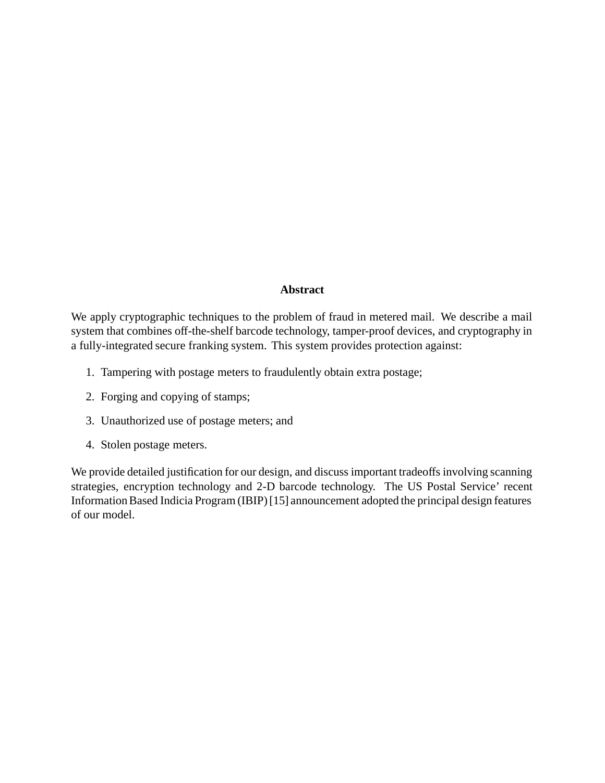#### **Abstract**

We apply cryptographic techniques to the problem of fraud in metered mail. We describe a mail system that combines off-the-shelf barcode technology, tamper-proof devices, and cryptography in a fully-integrated secure franking system. This system provides protection against:

- 1. Tampering with postage meters to fraudulently obtain extra postage;
- 2. Forging and copying of stamps;
- 3. Unauthorized use of postage meters; and
- 4. Stolen postage meters.

We provide detailed justification for our design, and discuss important tradeoffs involving scanning strategies, encryption technology and 2-D barcode technology. The US Postal Service' recent Information Based Indicia Program (IBIP) [15] announcement adopted the principal design features of our model.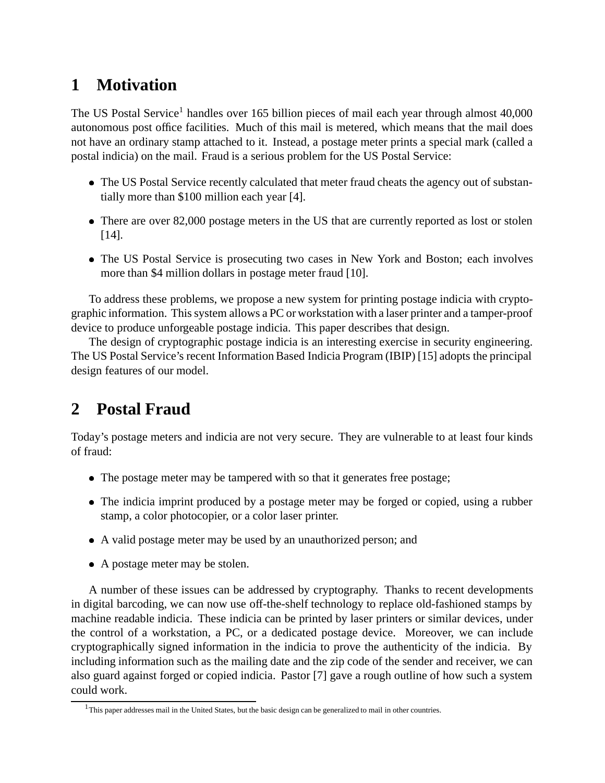# **1 Motivation**

The US Postal Service<sup>1</sup> handles over 165 billion pieces of mail each year through almost 40,000 autonomous post office facilities. Much of this mail is metered, which means that the mail does not have an ordinary stamp attached to it. Instead, a postage meter prints a special mark (called a postal indicia) on the mail. Fraud is a serious problem for the US Postal Service:

- The US Postal Service recently calculated that meter fraud cheats the agency out of substantially more than \$100 million each year [4].
- There are over 82,000 postage meters in the US that are currently reported as lost or stolen [14].
- The US Postal Service is prosecuting two cases in New York and Boston; each involves more than \$4 million dollars in postage meter fraud [10].

To address these problems, we propose a new system for printing postage indicia with cryptographic information. This system allows a PC or workstation with a laser printer and a tamper-proof device to produce unforgeable postage indicia. This paper describes that design.

The design of cryptographic postage indicia is an interesting exercise in security engineering. The US Postal Service's recent Information Based Indicia Program (IBIP) [15] adopts the principal design features of our model.

# **2 Postal Fraud**

Today's postage meters and indicia are not very secure. They are vulnerable to at least four kinds of fraud:

- The postage meter may be tampered with so that it generates free postage;
- The indicia imprint produced by a postage meter may be forged or copied, using a rubber stamp, a color photocopier, or a color laser printer.
- A valid postage meter may be used by an unauthorized person; and
- A postage meter may be stolen.

A number of these issues can be addressed by cryptography. Thanks to recent developments in digital barcoding, we can now use off-the-shelf technology to replace old-fashioned stamps by machine readable indicia. These indicia can be printed by laser printers or similar devices, under the control of a workstation, a PC, or a dedicated postage device. Moreover, we can include cryptographically signed information in the indicia to prove the authenticity of the indicia. By including information such as the mailing date and the zip code of the sender and receiver, we can also guard against forged or copied indicia. Pastor [7] gave a rough outline of how such a system could work.

 $1$ This paper addresses mail in the United States, but the basic design can be generalized to mail in other countries.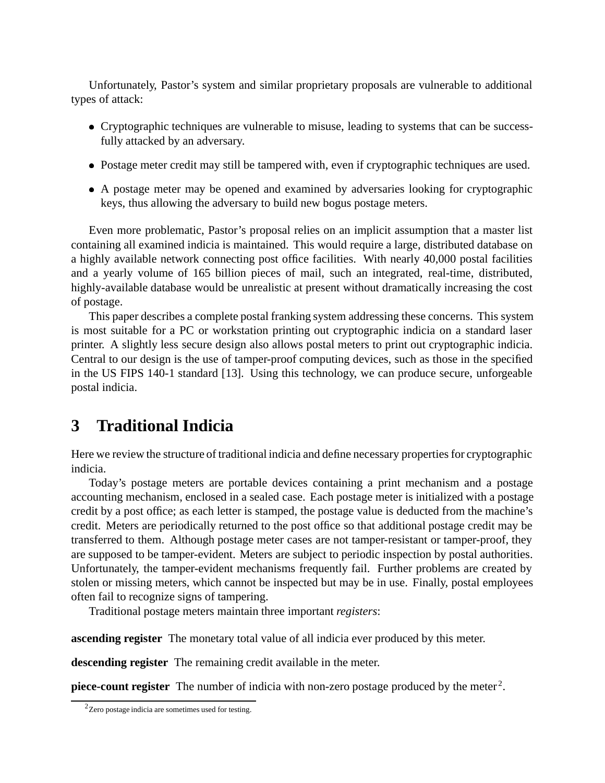Unfortunately, Pastor's system and similar proprietary proposals are vulnerable to additional types of attack:

- Cryptographic techniques are vulnerable to misuse, leading to systems that can be successfully attacked by an adversary.
- Postage meter credit may still be tampered with, even if cryptographic techniques are used.
- A postage meter may be opened and examined by adversaries looking for cryptographic keys, thus allowing the adversary to build new bogus postage meters.

Even more problematic, Pastor's proposal relies on an implicit assumption that a master list containing all examined indicia is maintained. This would require a large, distributed database on a highly available network connecting post office facilities. With nearly 40,000 postal facilities and a yearly volume of 165 billion pieces of mail, such an integrated, real-time, distributed, highly-available database would be unrealistic at present without dramatically increasing the cost of postage.

This paper describes a complete postal franking system addressing these concerns. This system is most suitable for a PC or workstation printing out cryptographic indicia on a standard laser printer. A slightly less secure design also allows postal meters to print out cryptographic indicia. Central to our design is the use of tamper-proof computing devices, such as those in the specified in the US FIPS 140-1 standard [13]. Using this technology, we can produce secure, unforgeable postal indicia.

## **3 Traditional Indicia**

Here we review the structure of traditional indicia and define necessary properties for cryptographic indicia.

Today's postage meters are portable devices containing a print mechanism and a postage accounting mechanism, enclosed in a sealed case. Each postage meter is initialized with a postage credit by a post office; as each letter is stamped, the postage value is deducted from the machine's credit. Meters are periodically returned to the post office so that additional postage credit may be transferred to them. Although postage meter cases are not tamper-resistant or tamper-proof, they are supposed to be tamper-evident. Meters are subject to periodic inspection by postal authorities. Unfortunately, the tamper-evident mechanisms frequently fail. Further problems are created by stolen or missing meters, which cannot be inspected but may be in use. Finally, postal employees often fail to recognize signs of tampering.

Traditional postage meters maintain three important *registers*:

**ascending register** The monetary total value of all indicia ever produced by this meter.

**descending register** The remaining credit available in the meter.

**piece-count register** The number of indicia with non-zero postage produced by the meter<sup>2</sup>.

 $2$ Zero postage indicia are sometimes used for testing.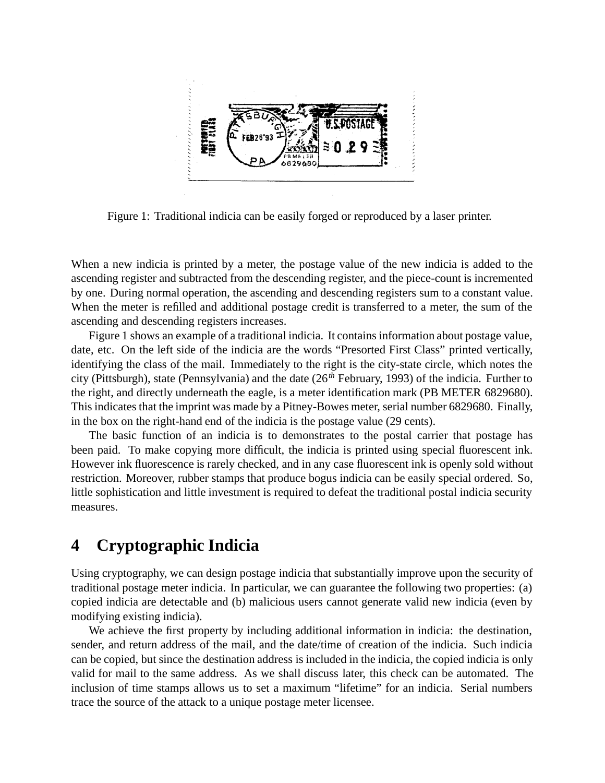

Figure 1: Traditional indicia can be easily forged or reproduced by a laser printer.

When a new indicia is printed by a meter, the postage value of the new indicia is added to the ascending register and subtracted from the descending register, and the piece-count is incremented by one. During normal operation, the ascending and descending registers sum to a constant value. When the meter is refilled and additional postage credit is transferred to a meter, the sum of the ascending and descending registers increases.

Figure 1 shows an example of a traditional indicia. It contains information about postage value, date, etc. On the left side of the indicia are the words "Presorted First Class" printed vertically, identifying the class of the mail. Immediately to the right is the city-state circle, which notes the city (Pittsburgh), state (Pennsylvania) and the date (26*th* February, 1993) of the indicia. Further to the right, and directly underneath the eagle, is a meter identification mark (PB METER 6829680). This indicates that the imprint was made by a Pitney-Bowes meter, serial number 6829680. Finally, in the box on the right-hand end of the indicia is the postage value (29 cents).

The basic function of an indicia is to demonstrates to the postal carrier that postage has been paid. To make copying more difficult, the indicia is printed using special fluorescent ink. However ink fluorescence is rarely checked, and in any case fluorescent ink is openly sold without restriction. Moreover, rubber stamps that produce bogus indicia can be easily special ordered. So, little sophistication and little investment is required to defeat the traditional postal indicia security measures.

## **4 Cryptographic Indicia**

Using cryptography, we can design postage indicia that substantially improve upon the security of traditional postage meter indicia. In particular, we can guarantee the following two properties: (a) copied indicia are detectable and (b) malicious users cannot generate valid new indicia (even by modifying existing indicia).

We achieve the first property by including additional information in indicia: the destination, sender, and return address of the mail, and the date/time of creation of the indicia. Such indicia can be copied, but since the destination address is included in the indicia, the copied indicia is only valid for mail to the same address. As we shall discuss later, this check can be automated. The inclusion of time stamps allows us to set a maximum "lifetime" for an indicia. Serial numbers trace the source of the attack to a unique postage meter licensee.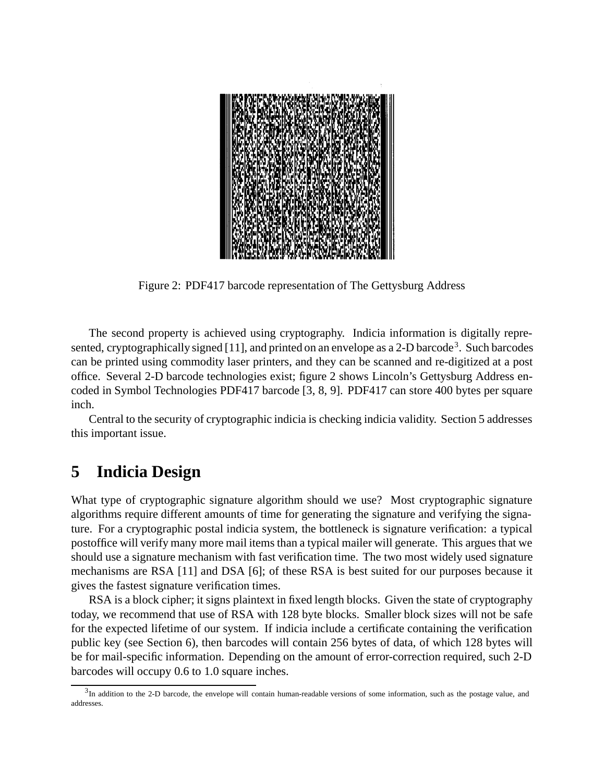

Figure 2: PDF417 barcode representation of The Gettysburg Address

The second property is achieved using cryptography. Indicia information is digitally represented, cryptographically signed [11], and printed on an envelope as a 2-D barcode<sup>3</sup>. Such barcodes can be printed using commodity laser printers, and they can be scanned and re-digitized at a post office. Several 2-D barcode technologies exist; figure 2 shows Lincoln's Gettysburg Address encoded in Symbol Technologies PDF417 barcode [3, 8, 9]. PDF417 can store 400 bytes per square inch.

Central to the security of cryptographic indicia is checking indicia validity. Section 5 addresses this important issue.

# **5 Indicia Design**

What type of cryptographic signature algorithm should we use? Most cryptographic signature algorithms require different amounts of time for generating the signature and verifying the signature. For a cryptographic postal indicia system, the bottleneck is signature verification: a typical postoffice will verify many more mail items than a typical mailer will generate. This argues that we should use a signature mechanism with fast verification time. The two most widely used signature mechanisms are RSA [11] and DSA [6]; of these RSA is best suited for our purposes because it gives the fastest signature verification times.

RSA is a block cipher; it signs plaintext in fixed length blocks. Given the state of cryptography today, we recommend that use of RSA with 128 byte blocks. Smaller block sizes will not be safe for the expected lifetime of our system. If indicia include a certificate containing the verification public key (see Section 6), then barcodes will contain 256 bytes of data, of which 128 bytes will be for mail-specific information. Depending on the amount of error-correction required, such 2-D barcodes will occupy 0.6 to 1.0 square inches.

<sup>&</sup>lt;sup>3</sup>In addition to the 2-D barcode, the envelope will contain human-readable versions of some information, such as the postage value, and addresses.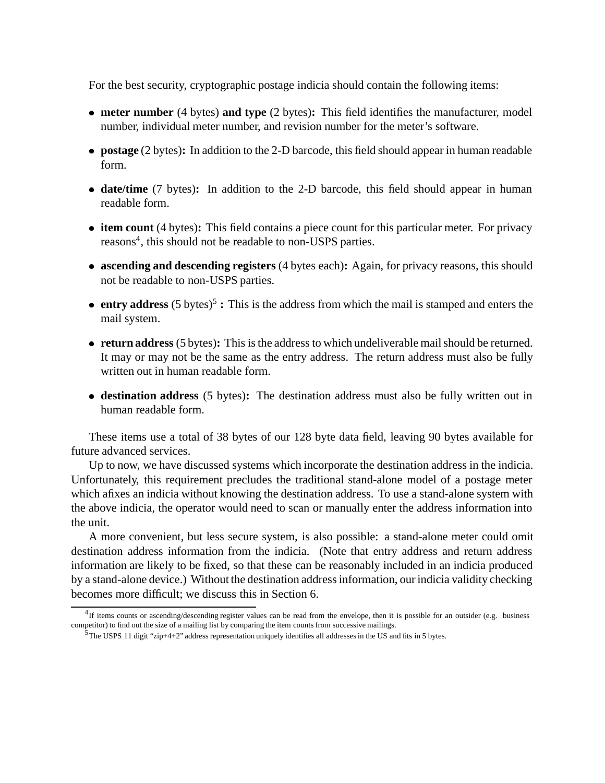For the best security, cryptographic postage indicia should contain the following items:

- **meter number** (4 bytes) **and type** (2 bytes)**:** This field identifies the manufacturer, model number, individual meter number, and revision number for the meter's software.
- **postage** (2 bytes)**:** In addition to the 2-D barcode, this field should appear in human readable form.
- **date/time** (7 bytes)**:** In addition to the 2-D barcode, this field should appear in human readable form.
- **item count** (4 bytes)**:** This field contains a piece count for this particular meter. For privacy reasons<sup>4</sup>, this should not be readable to non-USPS parties.
- **ascending and descending registers** (4 bytes each)**:** Again, for privacy reasons, this should not be readable to non-USPS parties.
- **entry address** (5 bytes)<sup>5</sup>: This is the address from which the mail is stamped and enters the mail system.
- **return address** (5 bytes)**:** This is the address to which undeliverable mail should be returned. It may or may not be the same as the entry address. The return address must also be fully written out in human readable form.
- **destination address** (5 bytes)**:** The destination address must also be fully written out in human readable form.

These items use a total of 38 bytes of our 128 byte data field, leaving 90 bytes available for future advanced services.

Up to now, we have discussed systems which incorporate the destination address in the indicia. Unfortunately, this requirement precludes the traditional stand-alone model of a postage meter which afixes an indicia without knowing the destination address. To use a stand-alone system with the above indicia, the operator would need to scan or manually enter the address information into the unit.

A more convenient, but less secure system, is also possible: a stand-alone meter could omit destination address information from the indicia. (Note that entry address and return address information are likely to be fixed, so that these can be reasonably included in an indicia produced by a stand-alone device.) Without the destination address information, our indicia validity checking becomes more difficult; we discuss this in Section 6.

 $^{4}$ If items counts or ascending/descending register values can be read from the envelope, then it is possible for an outsider (e.g. business competitor) to find out the size of a mailing list by comparing the item counts from successive mailings.

 $5$ The USPS 11 digit "zip+4+2" address representation uniquely identifies all addresses in the US and fits in 5 bytes.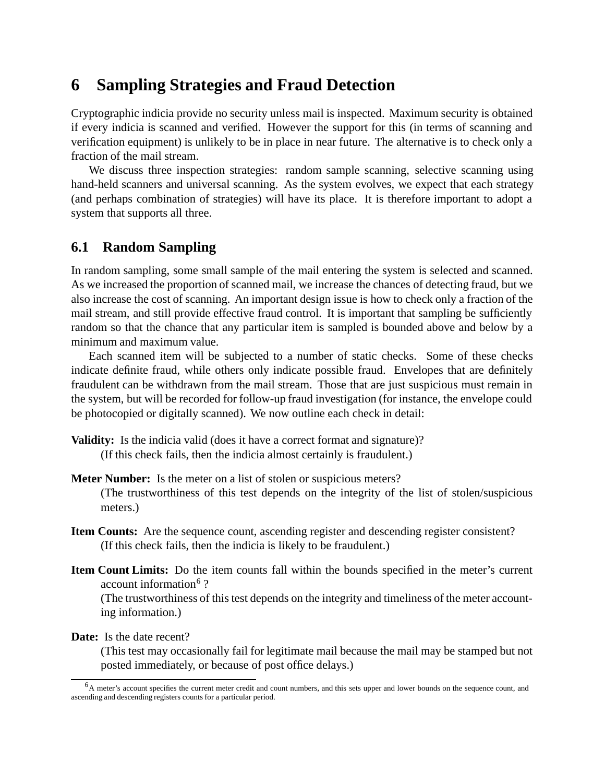### **6 Sampling Strategies and Fraud Detection**

Cryptographic indicia provide no security unless mail is inspected. Maximum security is obtained if every indicia is scanned and verified. However the support for this (in terms of scanning and verification equipment) is unlikely to be in place in near future. The alternative is to check only a fraction of the mail stream.

We discuss three inspection strategies: random sample scanning, selective scanning using hand-held scanners and universal scanning. As the system evolves, we expect that each strategy (and perhaps combination of strategies) will have its place. It is therefore important to adopt a system that supports all three.

#### **6.1 Random Sampling**

In random sampling, some small sample of the mail entering the system is selected and scanned. As we increased the proportion of scanned mail, we increase the chances of detecting fraud, but we also increase the cost of scanning. An important design issue is how to check only a fraction of the mail stream, and still provide effective fraud control. It is important that sampling be sufficiently random so that the chance that any particular item is sampled is bounded above and below by a minimum and maximum value.

Each scanned item will be subjected to a number of static checks. Some of these checks indicate definite fraud, while others only indicate possible fraud. Envelopes that are definitely fraudulent can be withdrawn from the mail stream. Those that are just suspicious must remain in the system, but will be recorded for follow-up fraud investigation (for instance, the envelope could be photocopied or digitally scanned). We now outline each check in detail:

- **Validity:** Is the indicia valid (does it have a correct format and signature)? (If this check fails, then the indicia almost certainly is fraudulent.)
- **Meter Number:** Is the meter on a list of stolen or suspicious meters?

(The trustworthiness of this test depends on the integrity of the list of stolen/suspicious meters.)

- **Item Counts:** Are the sequence count, ascending register and descending register consistent? (If this check fails, then the indicia is likely to be fraudulent.)
- **Item Count Limits:** Do the item counts fall within the bounds specified in the meter's current account information<sup>6</sup>?

(The trustworthiness of this test depends on the integrity and timeliness of the meter accounting information.)

**Date:** Is the date recent?

(This test may occasionally fail for legitimate mail because the mail may be stamped but not posted immediately, or because of post office delays.)

<sup>&</sup>lt;sup>6</sup>A meter's account specifies the current meter credit and count numbers, and this sets upper and lower bounds on the sequence count, and ascending and descending registers counts for a particular period.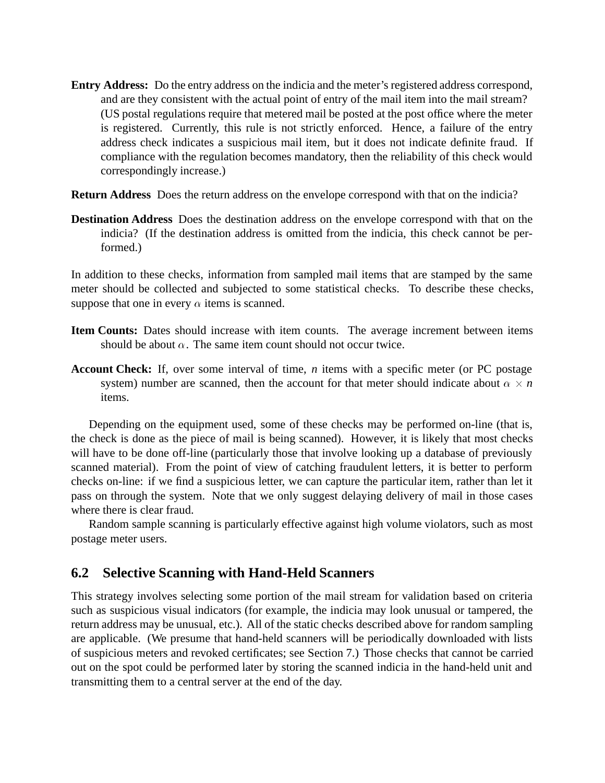**Entry Address:** Do the entry address on the indicia and the meter's registered address correspond, and are they consistent with the actual point of entry of the mail item into the mail stream? (US postal regulations require that metered mail be posted at the post office where the meter is registered. Currently, this rule is not strictly enforced. Hence, a failure of the entry address check indicates a suspicious mail item, but it does not indicate definite fraud. If compliance with the regulation becomes mandatory, then the reliability of this check would correspondingly increase.)

**Return Address** Does the return address on the envelope correspond with that on the indicia?

**Destination Address** Does the destination address on the envelope correspond with that on the indicia? (If the destination address is omitted from the indicia, this check cannot be performed.)

In addition to these checks, information from sampled mail items that are stamped by the same meter should be collected and subjected to some statistical checks. To describe these checks, suppose that one in every  $\alpha$  items is scanned.

- **Item Counts:** Dates should increase with item counts. The average increment between items should be about  $\alpha$ . The same item count should not occur twice.
- **Account Check:** If, over some interval of time, *n* items with a specific meter (or PC postage system) number are scanned, then the account for that meter should indicate about  $\alpha \times n$ items.

Depending on the equipment used, some of these checks may be performed on-line (that is, the check is done as the piece of mail is being scanned). However, it is likely that most checks will have to be done off-line (particularly those that involve looking up a database of previously scanned material). From the point of view of catching fraudulent letters, it is better to perform checks on-line: if we find a suspicious letter, we can capture the particular item, rather than let it pass on through the system. Note that we only suggest delaying delivery of mail in those cases where there is clear fraud.

Random sample scanning is particularly effective against high volume violators, such as most postage meter users.

#### **6.2 Selective Scanning with Hand-Held Scanners**

This strategy involves selecting some portion of the mail stream for validation based on criteria such as suspicious visual indicators (for example, the indicia may look unusual or tampered, the return address may be unusual, etc.). All of the static checks described above for random sampling are applicable. (We presume that hand-held scanners will be periodically downloaded with lists of suspicious meters and revoked certificates; see Section 7.) Those checks that cannot be carried out on the spot could be performed later by storing the scanned indicia in the hand-held unit and transmitting them to a central server at the end of the day.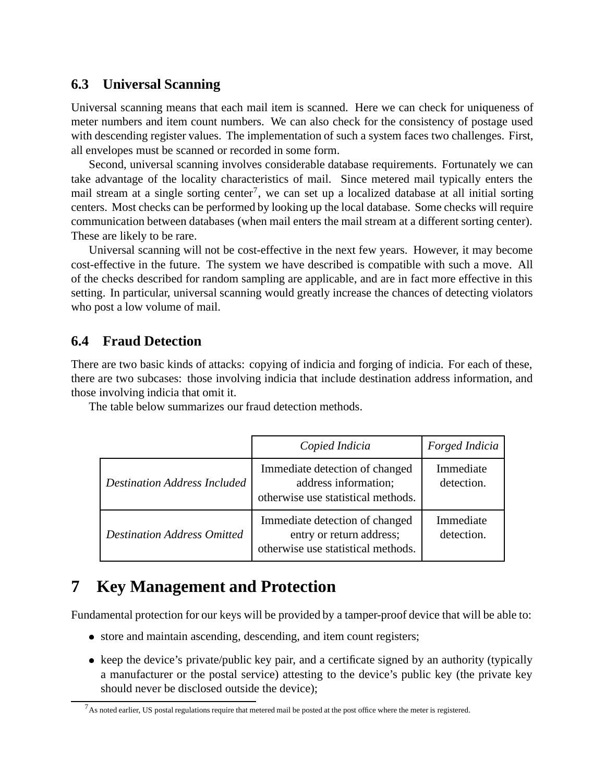#### **6.3 Universal Scanning**

Universal scanning means that each mail item is scanned. Here we can check for uniqueness of meter numbers and item count numbers. We can also check for the consistency of postage used with descending register values. The implementation of such a system faces two challenges. First, all envelopes must be scanned or recorded in some form.

Second, universal scanning involves considerable database requirements. Fortunately we can take advantage of the locality characteristics of mail. Since metered mail typically enters the mail stream at a single sorting center<sup>7</sup>, we can set up a localized database at all initial sorting centers. Most checks can be performed by looking up the local database. Some checks will require communication between databases (when mail enters the mail stream at a different sorting center). These are likely to be rare.

Universal scanning will not be cost-effective in the next few years. However, it may become cost-effective in the future. The system we have described is compatible with such a move. All of the checks described for random sampling are applicable, and are in fact more effective in this setting. In particular, universal scanning would greatly increase the chances of detecting violators who post a low volume of mail.

#### **6.4 Fraud Detection**

There are two basic kinds of attacks: copying of indicia and forging of indicia. For each of these, there are two subcases: those involving indicia that include destination address information, and those involving indicia that omit it.

The table below summarizes our fraud detection methods.

|                                     | Copied Indicia                                                                                   | Forged Indicia          |
|-------------------------------------|--------------------------------------------------------------------------------------------------|-------------------------|
| <b>Destination Address Included</b> | Immediate detection of changed<br>address information;<br>otherwise use statistical methods.     | Immediate<br>detection. |
| <b>Destination Address Omitted</b>  | Immediate detection of changed<br>entry or return address;<br>otherwise use statistical methods. | Immediate<br>detection. |

# **7 Key Management and Protection**

Fundamental protection for our keys will be provided by a tamper-proof device that will be able to:

- store and maintain ascending, descending, and item count registers;
- $\bullet$  keep the device's private/public key pair, and a certificate signed by an authority (typically a manufacturer or the postal service) attesting to the device's public key (the private key should never be disclosed outside the device);

 $^7$ As noted earlier, US postal regulations require that metered mail be posted at the post office where the meter is registered.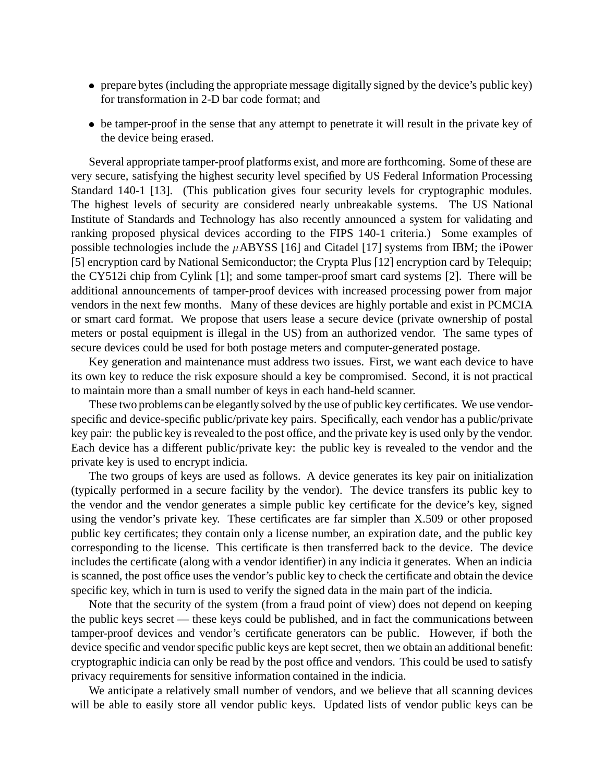- prepare bytes (including the appropriate message digitally signed by the device's public key) for transformation in 2-D bar code format; and
- be tamper-proof in the sense that any attempt to penetrate it will result in the private key of the device being erased.

Several appropriate tamper-proof platforms exist, and more are forthcoming. Some of these are very secure, satisfying the highest security level specified by US Federal Information Processing Standard 140-1 [13]. (This publication gives four security levels for cryptographic modules. The highest levels of security are considered nearly unbreakable systems. The US National Institute of Standards and Technology has also recently announced a system for validating and ranking proposed physical devices according to the FIPS 140-1 criteria.) Some examples of possible technologies include the  $\mu$ ABYSS [16] and Citadel [17] systems from IBM; the iPower [5] encryption card by National Semiconductor; the Crypta Plus [12] encryption card by Telequip; the CY512i chip from Cylink [1]; and some tamper-proof smart card systems [2]. There will be additional announcements of tamper-proof devices with increased processing power from major vendors in the next few months. Many of these devices are highly portable and exist in PCMCIA or smart card format. We propose that users lease a secure device (private ownership of postal meters or postal equipment is illegal in the US) from an authorized vendor. The same types of secure devices could be used for both postage meters and computer-generated postage.

Key generation and maintenance must address two issues. First, we want each device to have its own key to reduce the risk exposure should a key be compromised. Second, it is not practical to maintain more than a small number of keys in each hand-held scanner.

These two problems can be elegantly solved by the use of public key certificates. We use vendorspecific and device-specific public/private key pairs. Specifically, each vendor has a public/private key pair: the public key is revealed to the post office, and the private key is used only by the vendor. Each device has a different public/private key: the public key is revealed to the vendor and the private key is used to encrypt indicia.

The two groups of keys are used as follows. A device generates its key pair on initialization (typically performed in a secure facility by the vendor). The device transfers its public key to the vendor and the vendor generates a simple public key certificate for the device's key, signed using the vendor's private key. These certificates are far simpler than X.509 or other proposed public key certificates; they contain only a license number, an expiration date, and the public key corresponding to the license. This certificate is then transferred back to the device. The device includes the certificate (along with a vendor identifier) in any indicia it generates. When an indicia is scanned, the post office uses the vendor's public key to check the certificate and obtain the device specific key, which in turn is used to verify the signed data in the main part of the indicia.

Note that the security of the system (from a fraud point of view) does not depend on keeping the public keys secret — these keys could be published, and in fact the communications between tamper-proof devices and vendor's certificate generators can be public. However, if both the device specific and vendor specific public keys are kept secret, then we obtain an additional benefit: cryptographic indicia can only be read by the post office and vendors. This could be used to satisfy privacy requirements for sensitive information contained in the indicia.

We anticipate a relatively small number of vendors, and we believe that all scanning devices will be able to easily store all vendor public keys. Updated lists of vendor public keys can be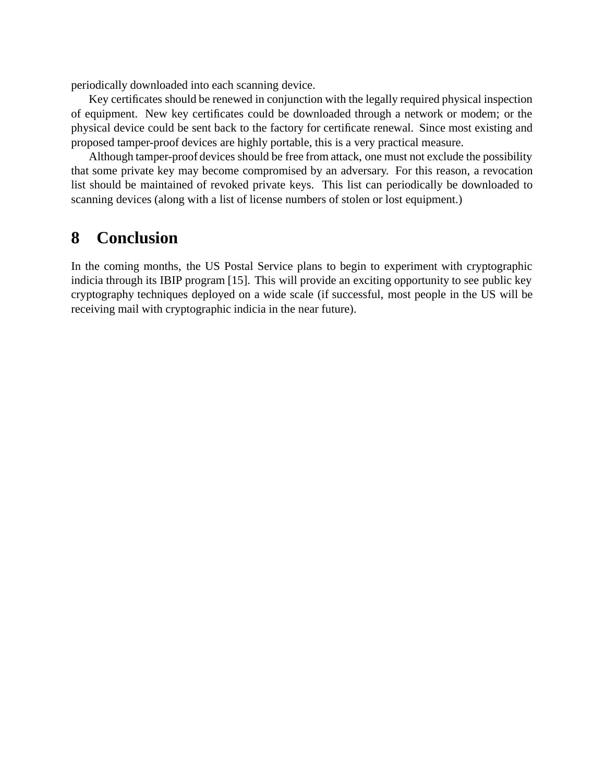periodically downloaded into each scanning device.

Key certificates should be renewed in conjunction with the legally required physical inspection of equipment. New key certificates could be downloaded through a network or modem; or the physical device could be sent back to the factory for certificate renewal. Since most existing and proposed tamper-proof devices are highly portable, this is a very practical measure.

Although tamper-proof devices should be free from attack, one must not exclude the possibility that some private key may become compromised by an adversary. For this reason, a revocation list should be maintained of revoked private keys. This list can periodically be downloaded to scanning devices (along with a list of license numbers of stolen or lost equipment.)

### **8 Conclusion**

In the coming months, the US Postal Service plans to begin to experiment with cryptographic indicia through its IBIP program [15]. This will provide an exciting opportunity to see public key cryptography techniques deployed on a wide scale (if successful, most people in the US will be receiving mail with cryptographic indicia in the near future).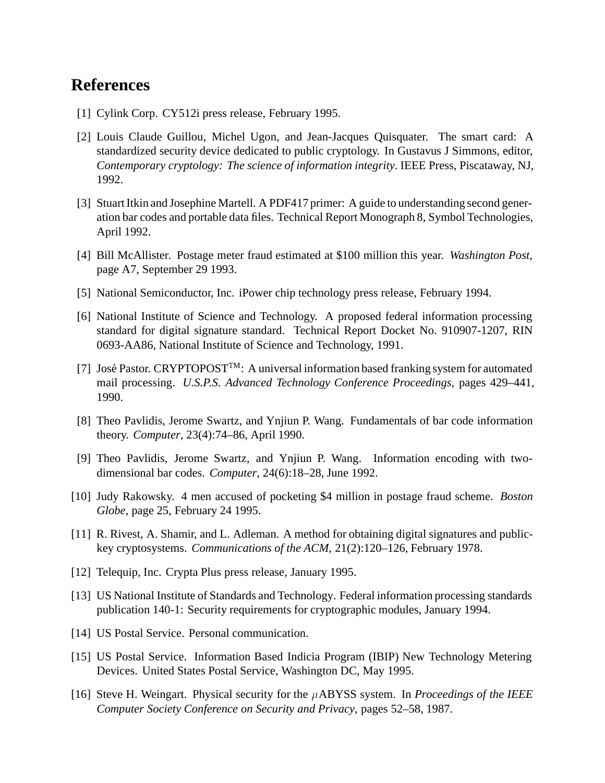### **References**

- [1] Cylink Corp. CY512i press release, February 1995.
- [2] Louis Claude Guillou, Michel Ugon, and Jean-Jacques Quisquater. The smart card: A standardized security device dedicated to public cryptology. In Gustavus J Simmons, editor, *Contemporary cryptology: The science of information integrity*. IEEE Press, Piscataway, NJ, 1992.
- [3] Stuart Itkin and Josephine Martell. A PDF417 primer: A guide to understanding second generation bar codes and portable data files. Technical Report Monograph 8, Symbol Technologies, April 1992.
- [4] Bill McAllister. Postage meter fraud estimated at \$100 million this year. *Washington Post*, page A7, September 29 1993.
- [5] National Semiconductor, Inc. iPower chip technology press release, February 1994.
- [6] National Institute of Science and Technology. A proposed federal information processing standard for digital signature standard. Technical Report Docket No. 910907-1207, RIN 0693-AA86, National Institute of Science and Technology, 1991.
- [7] José Pastor. CRYPTOPOST<sup>TM</sup>: A universal information based franking system for automated mail processing. *U.S.P.S. Advanced Technology Conference Proceedings*, pages 429–441, 1990.
- [8] Theo Pavlidis, Jerome Swartz, and Ynjiun P. Wang. Fundamentals of bar code information theory. *Computer*, 23(4):74–86, April 1990.
- [9] Theo Pavlidis, Jerome Swartz, and Ynjiun P. Wang. Information encoding with twodimensional bar codes. *Computer*, 24(6):18–28, June 1992.
- [10] Judy Rakowsky. 4 men accused of pocketing \$4 million in postage fraud scheme. *Boston Globe*, page 25, February 24 1995.
- [11] R. Rivest, A. Shamir, and L. Adleman. A method for obtaining digital signatures and publickey cryptosystems. *Communications of the ACM*, 21(2):120–126, February 1978.
- [12] Telequip, Inc. Crypta Plus press release, January 1995.
- [13] US National Institute of Standards and Technology. Federal information processing standards publication 140-1: Security requirements for cryptographic modules, January 1994.
- [14] US Postal Service. Personal communication.
- [15] US Postal Service. Information Based Indicia Program (IBIP) New Technology Metering Devices. United States Postal Service, Washington DC, May 1995.
- [16] Steve H. Weingart. Physical security for the ABYSS system. In *Proceedings of the IEEE Computer Society Conference on Security and Privacy*, pages 52–58, 1987.